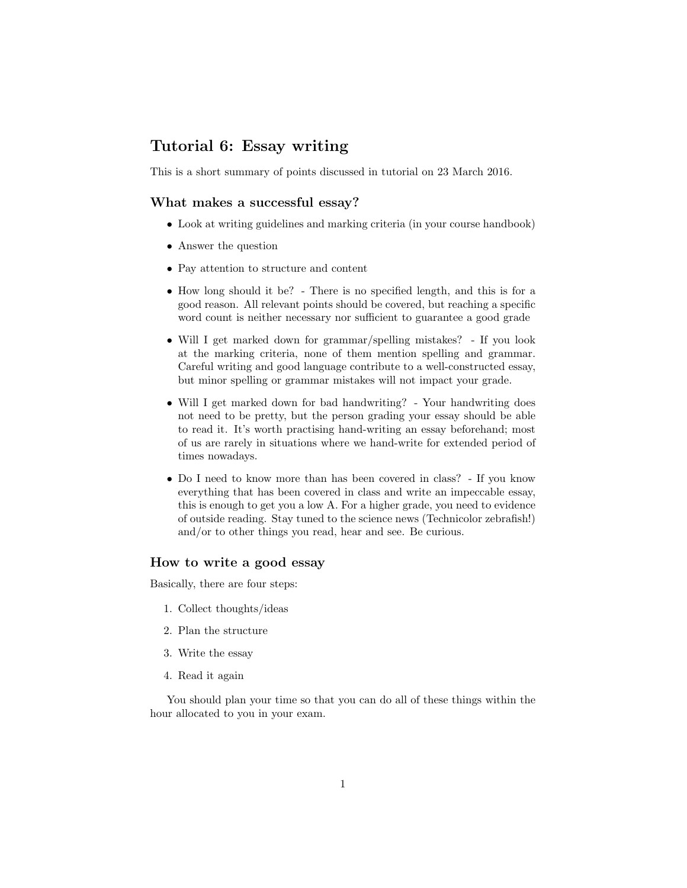# Tutorial 6: Essay writing

This is a short summary of points discussed in tutorial on 23 March 2016.

### What makes a successful essay?

- Look at writing guidelines and marking criteria (in your course handbook)
- Answer the question
- Pay attention to structure and content
- How long should it be? There is no specified length, and this is for a good reason. All relevant points should be covered, but reaching a specific word count is neither necessary nor sufficient to guarantee a good grade
- Will I get marked down for grammar/spelling mistakes? If you look at the marking criteria, none of them mention spelling and grammar. Careful writing and good language contribute to a well-constructed essay, but minor spelling or grammar mistakes will not impact your grade.
- Will I get marked down for bad handwriting? Your handwriting does not need to be pretty, but the person grading your essay should be able to read it. It's worth practising hand-writing an essay beforehand; most of us are rarely in situations where we hand-write for extended period of times nowadays.
- Do I need to know more than has been covered in class? If you know everything that has been covered in class and write an impeccable essay, this is enough to get you a low A. For a higher grade, you need to evidence of outside reading. Stay tuned to the science news (Technicolor zebrafish!) and/or to other things you read, hear and see. Be curious.

### How to write a good essay

Basically, there are four steps:

- 1. Collect thoughts/ideas
- 2. Plan the structure
- 3. Write the essay
- 4. Read it again

You should plan your time so that you can do all of these things within the hour allocated to you in your exam.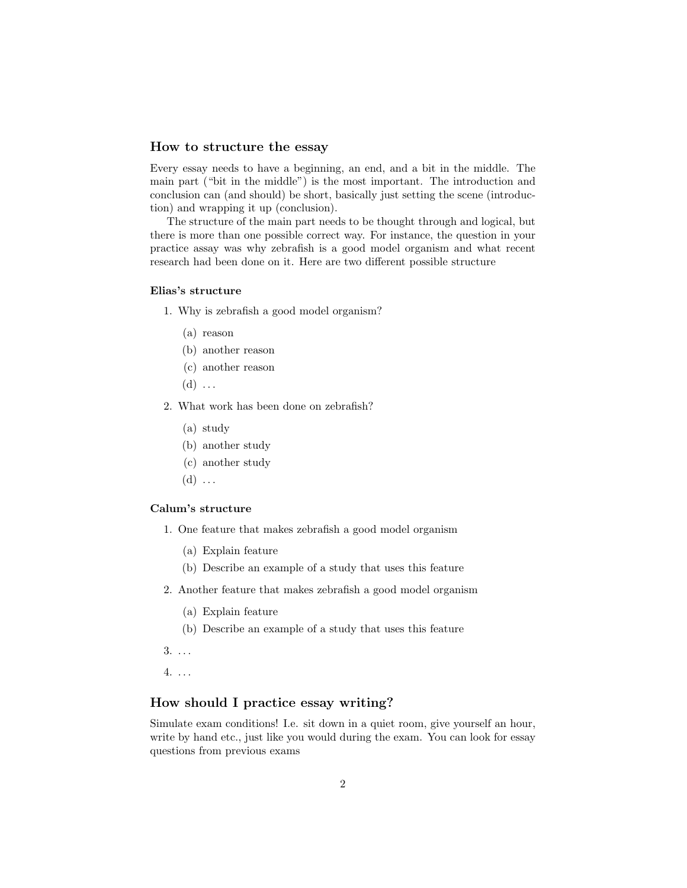### How to structure the essay

Every essay needs to have a beginning, an end, and a bit in the middle. The main part ("bit in the middle") is the most important. The introduction and conclusion can (and should) be short, basically just setting the scene (introduction) and wrapping it up (conclusion).

The structure of the main part needs to be thought through and logical, but there is more than one possible correct way. For instance, the question in your practice assay was why zebrafish is a good model organism and what recent research had been done on it. Here are two different possible structure

### Elias's structure

1. Why is zebrafish a good model organism?

- (a) reason
- (b) another reason
- (c) another reason
- $(d) \ldots$
- 2. What work has been done on zebrafish?
	- (a) study
	- (b) another study
	- (c) another study
	- $(d) \ldots$

#### Calum's structure

- 1. One feature that makes zebrafish a good model organism
	- (a) Explain feature
	- (b) Describe an example of a study that uses this feature
- 2. Another feature that makes zebrafish a good model organism
	- (a) Explain feature
	- (b) Describe an example of a study that uses this feature
- 3. . . .
- 4. . . .

## How should I practice essay writing?

Simulate exam conditions! I.e. sit down in a quiet room, give yourself an hour, write by hand etc., just like you would during the exam. You can look for essay questions from previous exams